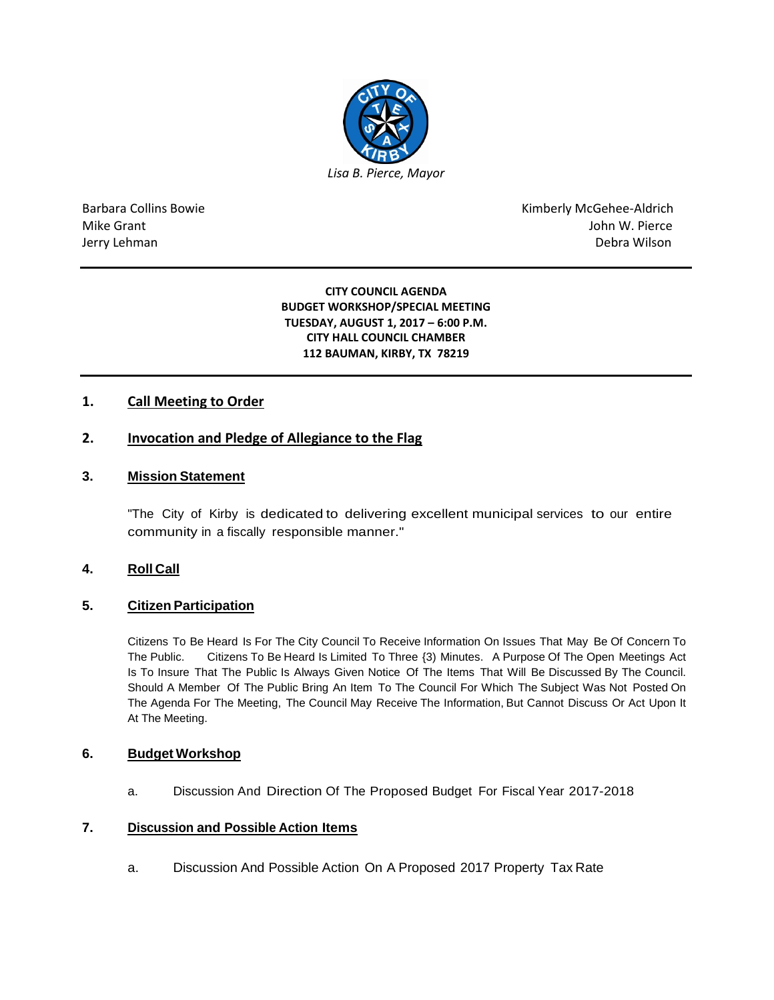

Barbara Collins Bowie **Kimberly McGehee-Aldrich** Mike Grant John W. Pierce Jerry Lehman Debra Wilson (2008) and the state of the state of the state of the state of the state of the state of the state of the state of the state of the state of the state of the state of the state of the state of the

> **CITY COUNCIL AGENDA BUDGET WORKSHOP/SPECIAL MEETING TUESDAY, AUGUST 1, 2017 – 6:00 P.M. CITY HALL COUNCIL CHAMBER 112 BAUMAN, KIRBY, TX 78219**

# **1. Call Meeting to Order**

# **2. Invocation and Pledge of Allegiance to the Flag**

# **3. Mission Statement**

"The City of Kirby is dedicated to delivering excellent municipal services to our entire community in a fiscally responsible manner."

# **4. Roll Call**

### **5. Citizen Participation**

Citizens To Be Heard Is For The City Council To Receive Information On Issues That May Be Of Concern To The Public. Citizens To Be Heard Is Limited To Three {3) Minutes. A Purpose Of The Open Meetings Act Is To Insure That The Public Is Always Given Notice Of The Items That Will Be Discussed By The Council. Should A Member Of The Public Bring An Item To The Council For Which The Subject Was Not Posted On The Agenda For The Meeting, The Council May Receive The Information, But Cannot Discuss Or Act Upon It At The Meeting.

#### **6. Budget Workshop**

a. Discussion And Direction Of The Proposed Budget For Fiscal Year 2017-2018

### **7. Discussion and Possible Action Items**

a. Discussion And Possible Action On A Proposed 2017 Property Tax Rate